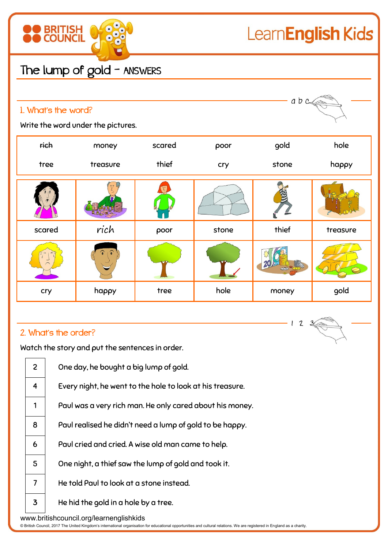

## The lump of gold - ANSWERS

| abc<br>1. What's the word?<br>Write the word under the pictures. |          |        |       |       |          |  |  |  |
|------------------------------------------------------------------|----------|--------|-------|-------|----------|--|--|--|
| rich                                                             | money    | scared | poor  | gold  | hole     |  |  |  |
| tree                                                             | treasure | thief  | cry   | stone | happy    |  |  |  |
|                                                                  |          |        |       |       |          |  |  |  |
| scared                                                           | rich     | poor   | stone | thief | treasure |  |  |  |
|                                                                  |          |        |       |       |          |  |  |  |
| cry                                                              | happy    | tree   | hole  | money | gold     |  |  |  |

## 2. What's the order?

Watch the story and put the sentences in order.

|                                                                                                                                                                                                                     | $\overline{2}$ | One day, he bought a big lump of gold.                    |  |  |  |
|---------------------------------------------------------------------------------------------------------------------------------------------------------------------------------------------------------------------|----------------|-----------------------------------------------------------|--|--|--|
|                                                                                                                                                                                                                     | $\overline{4}$ | Every night, he went to the hole to look at his treasure. |  |  |  |
|                                                                                                                                                                                                                     | 1              | Paul was a very rich man. He only cared about his money.  |  |  |  |
|                                                                                                                                                                                                                     | 8              | Paul realised he didn't need a lump of gold to be happy.  |  |  |  |
|                                                                                                                                                                                                                     | 6              | Paul cried and cried. A wise old man came to help.        |  |  |  |
|                                                                                                                                                                                                                     | 5              | One night, a thief saw the lump of gold and took it.      |  |  |  |
|                                                                                                                                                                                                                     | 7              | He told Paul to look at a stone instead.                  |  |  |  |
|                                                                                                                                                                                                                     | $\overline{3}$ | He hid the gold in a hole by a tree.                      |  |  |  |
| www.britishcouncil.org/learnenglishkids<br>@ British Council, 2017 The United Kingdom's international organisation for educational opportunities and cultural relations. We are registered in England as a charity. |                |                                                           |  |  |  |

 $123$